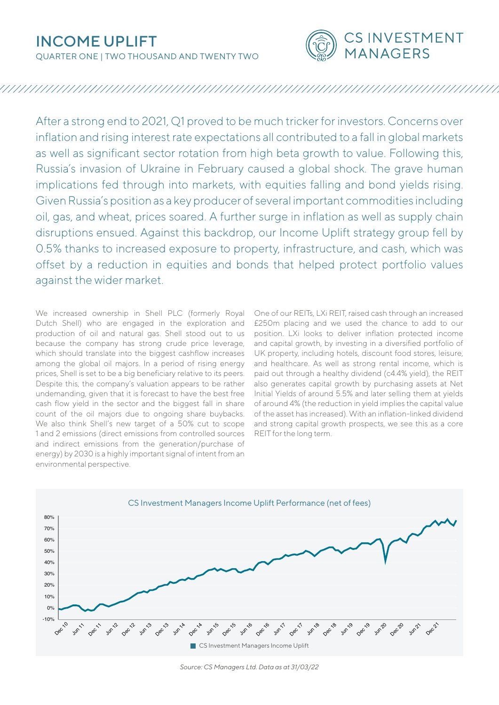# INCOME UPLIFT

QUARTER ONE | TWO THOUSAND AND TWENTY TWO



# 

After a strong end to 2021, Q1 proved to be much tricker for investors. Concerns over inflation and rising interest rate expectations all contributed to a fall in global markets as well as significant sector rotation from high beta growth to value. Following this, Russia's invasion of Ukraine in February caused a global shock. The grave human implications fed through into markets, with equities falling and bond yields rising. Given Russia's position as a key producer of several important commodities including oil, gas, and wheat, prices soared. A further surge in inflation as well as supply chain disruptions ensued. Against this backdrop, our Income Uplift strategy group fell by 0.5% thanks to increased exposure to property, infrastructure, and cash, which was offset by a reduction in equities and bonds that helped protect portfolio values against the wider market.

We increased ownership in Shell PLC (formerly Royal Dutch Shell) who are engaged in the exploration and production of oil and natural gas. Shell stood out to us because the company has strong crude price leverage, which should translate into the biggest cashflow increases among the global oil majors. In a period of rising energy prices, Shell is set to be a big beneficiary relative to its peers. Despite this, the company's valuation appears to be rather undemanding, given that it is forecast to have the best free cash flow yield in the sector and the biggest fall in share count of the oil majors due to ongoing share buybacks. We also think Shell's new target of a 50% cut to scope 1 and 2 emissions (direct emissions from controlled sources and indirect emissions from the generation/purchase of energy) by 2030 is a highly important signal of intent from an environmental perspective.

One of our REITs, LXi REIT, raised cash through an increased £250m placing and we used the chance to add to our position. LXi looks to deliver inflation protected income and capital growth, by investing in a diversified portfolio of UK property, including hotels, discount food stores, leisure, and healthcare. As well as strong rental income, which is paid out through a healthy dividend (c4.4% yield), the REIT also generates capital growth by purchasing assets at Net Initial Yields of around 5.5% and later selling them at yields of around 4% (the reduction in yield implies the capital value of the asset has increased). With an inflation-linked dividend and strong capital growth prospects, we see this as a core REIT for the long term.



*Source: CS Managers Ltd. Data as at 31/03/22*